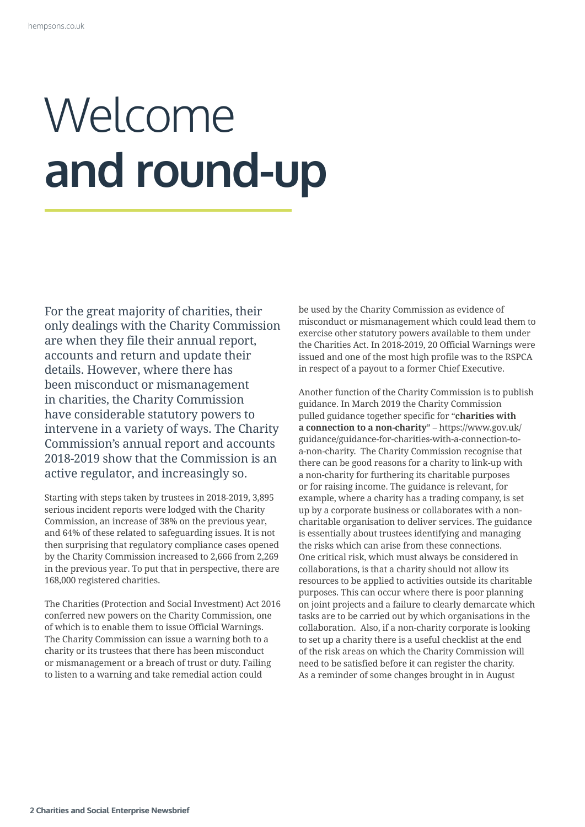## Welcome **and round-up**

For the great majority of charities, their<br>only dealings with the Charity Commissi<br>are<br>are when they file their annual report,<br>accounts and return and update their<br>details. However, where there has<br>been misconduct or misma only dealings with the Charity Commission are when they file their annual report, accounts and return and update their details. However, where there has been misconduct or mismanagement in charities, the Charity Commission have considerable statutory powers to intervene in a variety of ways. The Charity Commission's annual report and accounts 2018-2019 show that the Commission is an active regulator, and increasingly so.

Starting with steps taken by trustees in 2018-2019, 3,895 serious incident reports were lodged with the Charity Commission, an increase of 38% on the previous year, and 64% of these related to safeguarding issues. It is not then surprising that regulatory compliance cases opened by the Charity Commission increased to 2,666 from 2,269 in the previous year. To put that in perspective, there are 168,000 registered charities.

The Charities (Protection and Social Investment) Act 2016 conferred new powers on the Charity Commission, one of which is to enable them to issue Official Warnings. The Charity Commission can issue a warning both to a charity or its trustees that there has been misconduct or mismanagement or a breach of trust or duty. Failing to listen to a warning and take remedial action could

be used by the Charity Commission as evidence of misconduct or mismanagement which could lead them to exercise other statutory powers available to them under the Charities Act. In 2018-2019, 20 Official Warnings were issued and one of the most high profile was to the RSPCA in respect of a payout to a former Chief Executive.

Another function of the Charity Commission is to publish guidance. In March 2019 the Charity Commission pulled guidance together specific for "**charities with a connection to a non-charity**" – https://www.gov.uk/ guidance/guidance-for-charities-with-a-connection-toa-non-charity. The Charity Commission recognise that there can be good reasons for a charity to link-up with a non-charity for furthering its charitable purposes or for raising income. The guidance is relevant, for example, where a charity has a trading company, is set up by a corporate business or collaborates with a noncharitable organisation to deliver services. The guidance is essentially about trustees identifying and managing the risks which can arise from these connections. One critical risk, which must always be considered in collaborations, is that a charity should not allow its resources to be applied to activities outside its charitable purposes. This can occur where there is poor planning on joint projects and a failure to clearly demarcate which tasks are to be carried out by which organisations in the collaboration. Also, if a non-charity corporate is looking to set up a charity there is a useful checklist at the end of the risk areas on which the Charity Commission will need to be satisfied before it can register the charity. As a reminder of some changes brought in in August